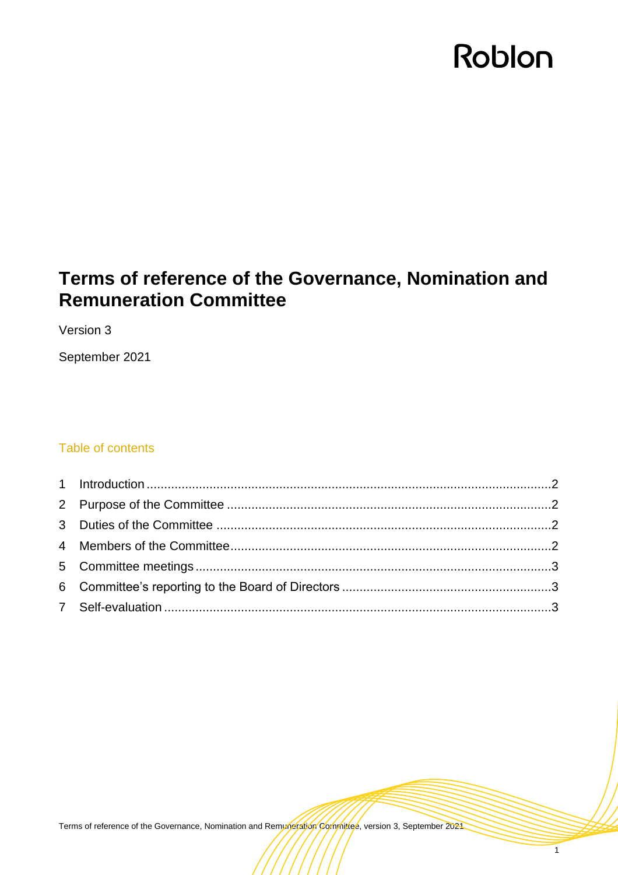# Roblon

# **Terms of reference of the Governance, Nomination and Remuneration Committee**

Version 3

September 2021

# Table of contents

Terms of reference of the Governance, Nomination and Remuneration Committee, version 3, September 2021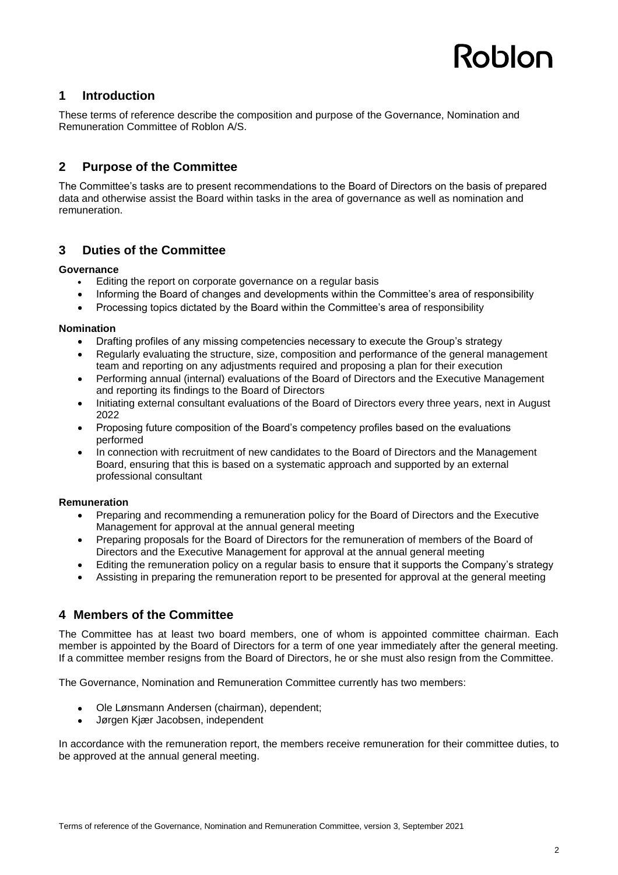# Roblon

### **1 Introduction**

These terms of reference describe the composition and purpose of the Governance, Nomination and Remuneration Committee of Roblon A/S.

# **2 Purpose of the Committee**

The Committee's tasks are to present recommendations to the Board of Directors on the basis of prepared data and otherwise assist the Board within tasks in the area of governance as well as nomination and remuneration.

## **3 Duties of the Committee**

#### **Governance**

- Editing the report on corporate governance on a regular basis
- Informing the Board of changes and developments within the Committee's area of responsibility
- Processing topics dictated by the Board within the Committee's area of responsibility

#### **Nomination**

- Drafting profiles of any missing competencies necessary to execute the Group's strategy
- Regularly evaluating the structure, size, composition and performance of the general management team and reporting on any adjustments required and proposing a plan for their execution
- Performing annual (internal) evaluations of the Board of Directors and the Executive Management and reporting its findings to the Board of Directors
- Initiating external consultant evaluations of the Board of Directors every three years, next in August 2022
- Proposing future composition of the Board's competency profiles based on the evaluations performed
- In connection with recruitment of new candidates to the Board of Directors and the Management Board, ensuring that this is based on a systematic approach and supported by an external professional consultant

#### **Remuneration**

- Preparing and recommending a remuneration policy for the Board of Directors and the Executive Management for approval at the annual general meeting
- Preparing proposals for the Board of Directors for the remuneration of members of the Board of Directors and the Executive Management for approval at the annual general meeting
- Editing the remuneration policy on a regular basis to ensure that it supports the Company's strategy
- Assisting in preparing the remuneration report to be presented for approval at the general meeting

## **4 Members of the Committee**

The Committee has at least two board members, one of whom is appointed committee chairman. Each member is appointed by the Board of Directors for a term of one year immediately after the general meeting. If a committee member resigns from the Board of Directors, he or she must also resign from the Committee.

The Governance, Nomination and Remuneration Committee currently has two members:

- Ole Lønsmann Andersen (chairman), dependent;
- Jørgen Kjær Jacobsen, independent

In accordance with the remuneration report, the members receive remuneration for their committee duties, to be approved at the annual general meeting.